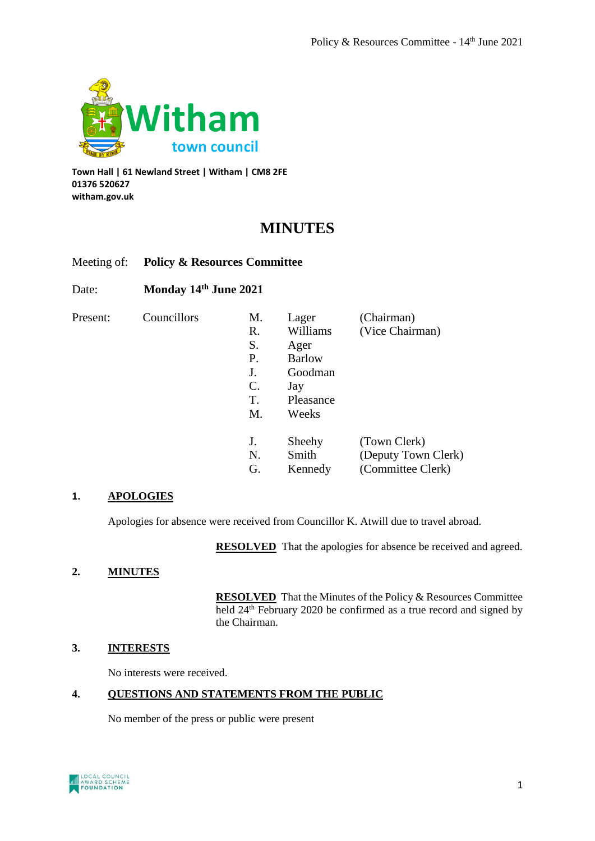

**Town Hall | 61 Newland Street | Witham | CM8 2FE 01376 520627 witham.gov.uk**

# **MINUTES**

# Meeting of: **Policy & Resources Committee**

# Date: **Monday 14th June 2021**

Present: Councillors M. Lager (Chair

| M. | Lager         | (Chairman)          |
|----|---------------|---------------------|
| R. | Williams      | (Vice Chairman)     |
| S. | Ager          |                     |
| Р. | <b>Barlow</b> |                     |
| J. | Goodman       |                     |
| C. | Jay           |                     |
| T. | Pleasance     |                     |
| М. | Weeks         |                     |
|    |               |                     |
| J. | Sheehy        | (Town Clerk)        |
| N. | Smith         | (Deputy Town Clerk) |
| G. | Kennedy       | (Committee Clerk)   |

## **1. APOLOGIES**

Apologies for absence were received from Councillor K. Atwill due to travel abroad.

**RESOLVED** That the apologies for absence be received and agreed.

## **2. MINUTES**

**RESOLVED** That the Minutes of the Policy & Resources Committee held 24<sup>th</sup> February 2020 be confirmed as a true record and signed by the Chairman.

## **3. INTERESTS**

No interests were received.

# **4. QUESTIONS AND STATEMENTS FROM THE PUBLIC**

No member of the press or public were present

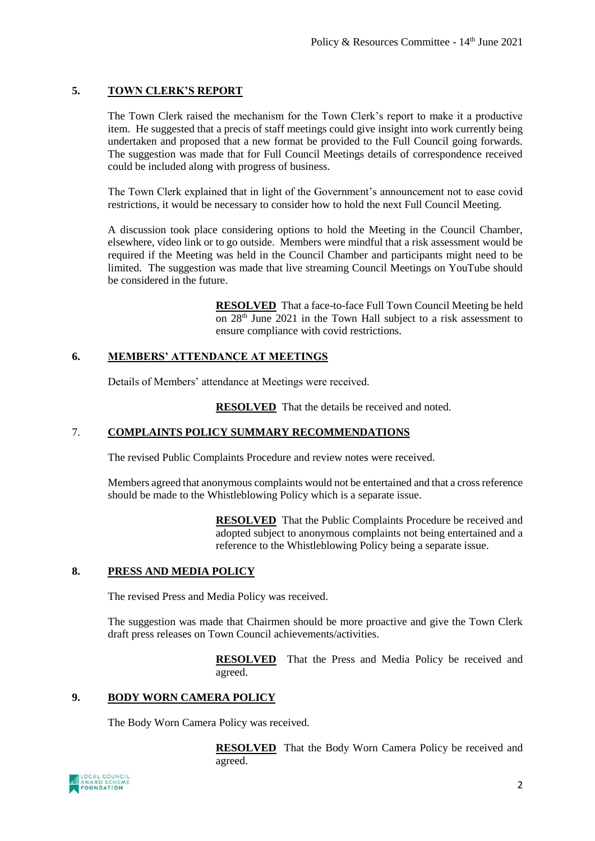# **5. TOWN CLERK'S REPORT**

The Town Clerk raised the mechanism for the Town Clerk's report to make it a productive item. He suggested that a precis of staff meetings could give insight into work currently being undertaken and proposed that a new format be provided to the Full Council going forwards. The suggestion was made that for Full Council Meetings details of correspondence received could be included along with progress of business.

The Town Clerk explained that in light of the Government's announcement not to ease covid restrictions, it would be necessary to consider how to hold the next Full Council Meeting.

A discussion took place considering options to hold the Meeting in the Council Chamber, elsewhere, video link or to go outside. Members were mindful that a risk assessment would be required if the Meeting was held in the Council Chamber and participants might need to be limited. The suggestion was made that live streaming Council Meetings on YouTube should be considered in the future.

> **RESOLVED** That a face-to-face Full Town Council Meeting be held on 28th June 2021 in the Town Hall subject to a risk assessment to ensure compliance with covid restrictions.

## **6. MEMBERS' ATTENDANCE AT MEETINGS**

Details of Members' attendance at Meetings were received.

**RESOLVED** That the details be received and noted.

# 7. **COMPLAINTS POLICY SUMMARY RECOMMENDATIONS**

The revised Public Complaints Procedure and review notes were received.

Members agreed that anonymous complaints would not be entertained and that a cross reference should be made to the Whistleblowing Policy which is a separate issue.

> **RESOLVED** That the Public Complaints Procedure be received and adopted subject to anonymous complaints not being entertained and a reference to the Whistleblowing Policy being a separate issue.

## **8. PRESS AND MEDIA POLICY**

The revised Press and Media Policy was received.

The suggestion was made that Chairmen should be more proactive and give the Town Clerk draft press releases on Town Council achievements/activities.

> **RESOLVED** That the Press and Media Policy be received and agreed.

## **9. BODY WORN CAMERA POLICY**

The Body Worn Camera Policy was received.

**RESOLVED** That the Body Worn Camera Policy be received and agreed.

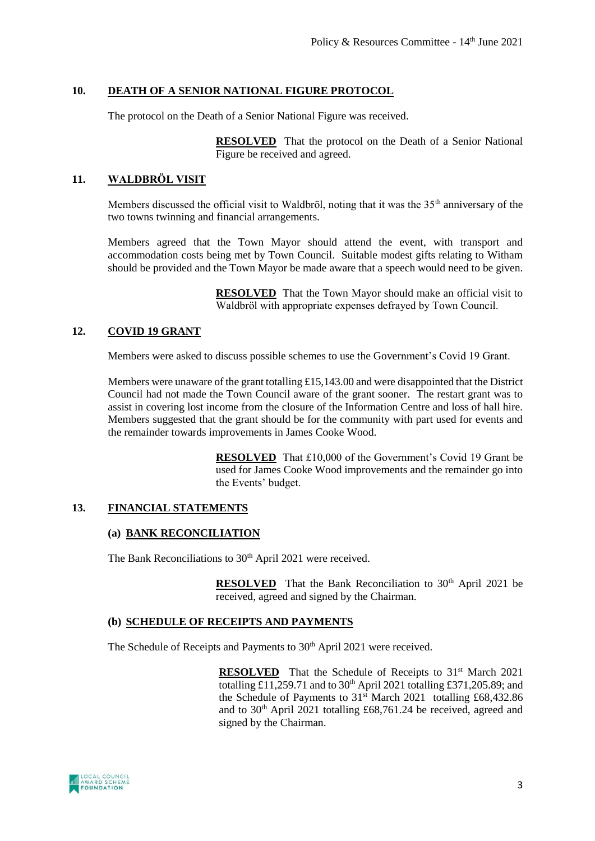## **10. DEATH OF A SENIOR NATIONAL FIGURE PROTOCOL**

The protocol on the Death of a Senior National Figure was received.

**RESOLVED** That the protocol on the Death of a Senior National Figure be received and agreed.

## **11. WALDBRӦL VISIT**

Members discussed the official visit to Waldbröl, noting that it was the  $35<sup>th</sup>$  anniversary of the two towns twinning and financial arrangements.

Members agreed that the Town Mayor should attend the event, with transport and accommodation costs being met by Town Council. Suitable modest gifts relating to Witham should be provided and the Town Mayor be made aware that a speech would need to be given.

> **RESOLVED** That the Town Mayor should make an official visit to Waldbröl with appropriate expenses defrayed by Town Council.

## **12. COVID 19 GRANT**

Members were asked to discuss possible schemes to use the Government's Covid 19 Grant.

Members were unaware of the grant totalling £15,143.00 and were disappointed that the District Council had not made the Town Council aware of the grant sooner. The restart grant was to assist in covering lost income from the closure of the Information Centre and loss of hall hire. Members suggested that the grant should be for the community with part used for events and the remainder towards improvements in James Cooke Wood.

> **RESOLVED** That £10,000 of the Government's Covid 19 Grant be used for James Cooke Wood improvements and the remainder go into the Events' budget.

#### **13. FINANCIAL STATEMENTS**

#### **(a) BANK RECONCILIATION**

The Bank Reconciliations to 30<sup>th</sup> April 2021 were received.

**RESOLVED** That the Bank Reconciliation to 30<sup>th</sup> April 2021 be received, agreed and signed by the Chairman.

#### **(b) SCHEDULE OF RECEIPTS AND PAYMENTS**

The Schedule of Receipts and Payments to 30<sup>th</sup> April 2021 were received.

**RESOLVED** That the Schedule of Receipts to 31<sup>st</sup> March 2021 totalling £11,259.71 and to  $30<sup>th</sup>$  April 2021 totalling £371,205.89; and the Schedule of Payments to  $31<sup>st</sup>$  March 2021 totalling £68,432.86 and to  $30<sup>th</sup>$  April 2021 totalling £68,761.24 be received, agreed and signed by the Chairman.

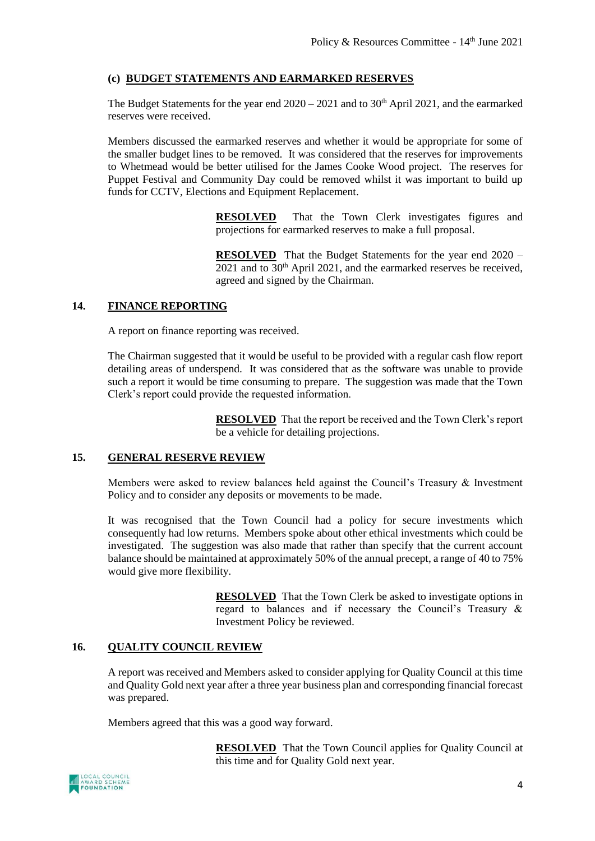## **(c) BUDGET STATEMENTS AND EARMARKED RESERVES**

The Budget Statements for the year end  $2020 - 2021$  and to  $30<sup>th</sup>$  April 2021, and the earmarked reserves were received.

Members discussed the earmarked reserves and whether it would be appropriate for some of the smaller budget lines to be removed. It was considered that the reserves for improvements to Whetmead would be better utilised for the James Cooke Wood project. The reserves for Puppet Festival and Community Day could be removed whilst it was important to build up funds for CCTV, Elections and Equipment Replacement.

> **RESOLVED** That the Town Clerk investigates figures and projections for earmarked reserves to make a full proposal.

> **RESOLVED** That the Budget Statements for the year end 2020 –  $2021$  and to  $30<sup>th</sup>$  April 2021, and the earmarked reserves be received, agreed and signed by the Chairman.

#### **14. FINANCE REPORTING**

A report on finance reporting was received.

The Chairman suggested that it would be useful to be provided with a regular cash flow report detailing areas of underspend. It was considered that as the software was unable to provide such a report it would be time consuming to prepare. The suggestion was made that the Town Clerk's report could provide the requested information.

> **RESOLVED** That the report be received and the Town Clerk's report be a vehicle for detailing projections.

#### **15. GENERAL RESERVE REVIEW**

Members were asked to review balances held against the Council's Treasury & Investment Policy and to consider any deposits or movements to be made.

It was recognised that the Town Council had a policy for secure investments which consequently had low returns. Members spoke about other ethical investments which could be investigated. The suggestion was also made that rather than specify that the current account balance should be maintained at approximately 50% of the annual precept, a range of 40 to 75% would give more flexibility.

> **RESOLVED** That the Town Clerk be asked to investigate options in regard to balances and if necessary the Council's Treasury & Investment Policy be reviewed.

#### **16. QUALITY COUNCIL REVIEW**

A report was received and Members asked to consider applying for Quality Council at this time and Quality Gold next year after a three year business plan and corresponding financial forecast was prepared.

Members agreed that this was a good way forward.

**RESOLVED** That the Town Council applies for Quality Council at this time and for Quality Gold next year.